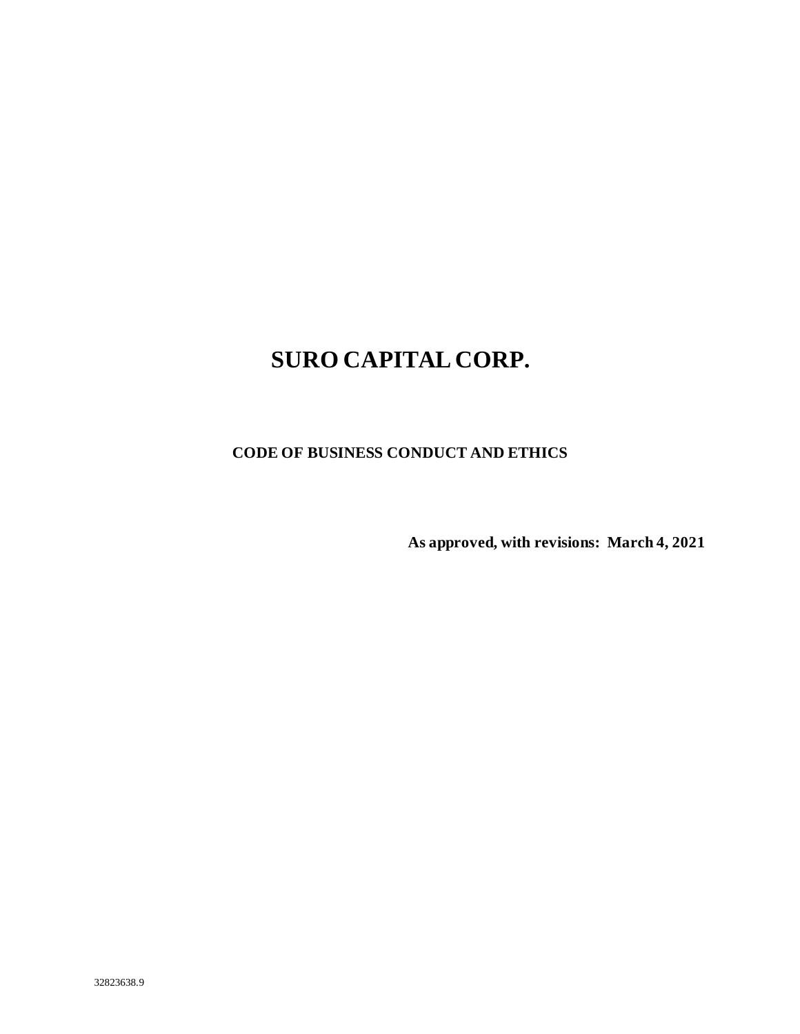# **SURO CAPITAL CORP.**

**CODE OF BUSINESS CONDUCT AND ETHICS**

**As approved, with revisions: March 4, 2021**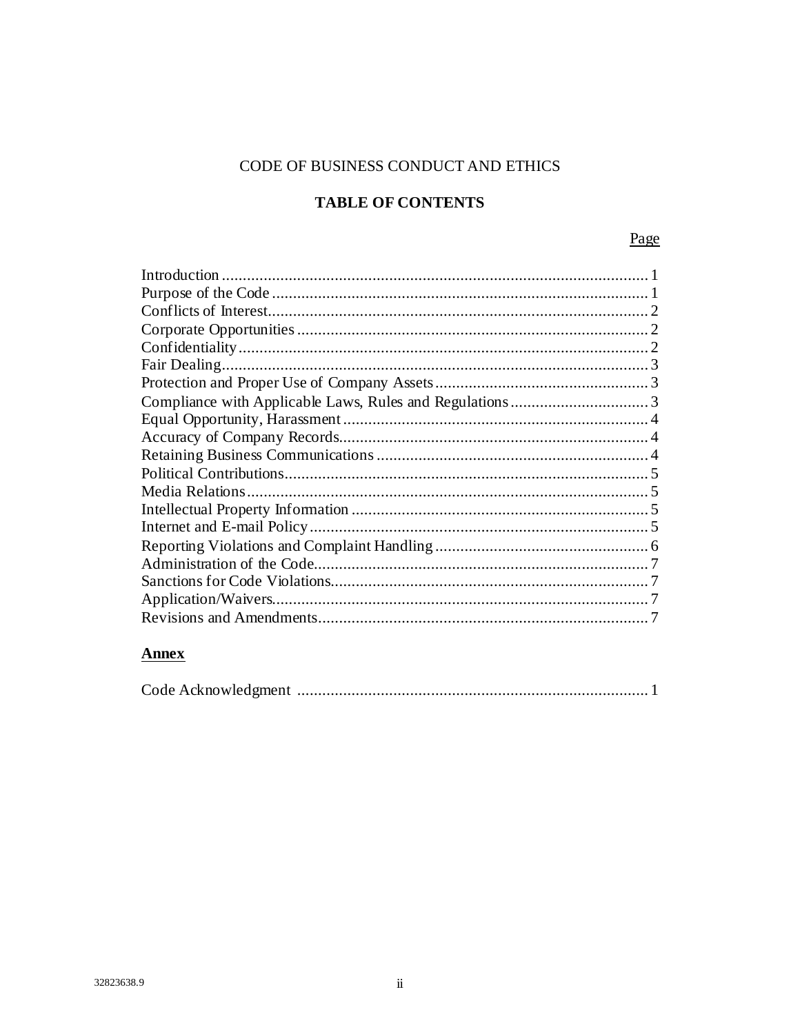# CODE OF BUSINESS CONDUCT AND ETHICS

# **TABLE OF CONTENTS**

Page

# **Annex**

|--|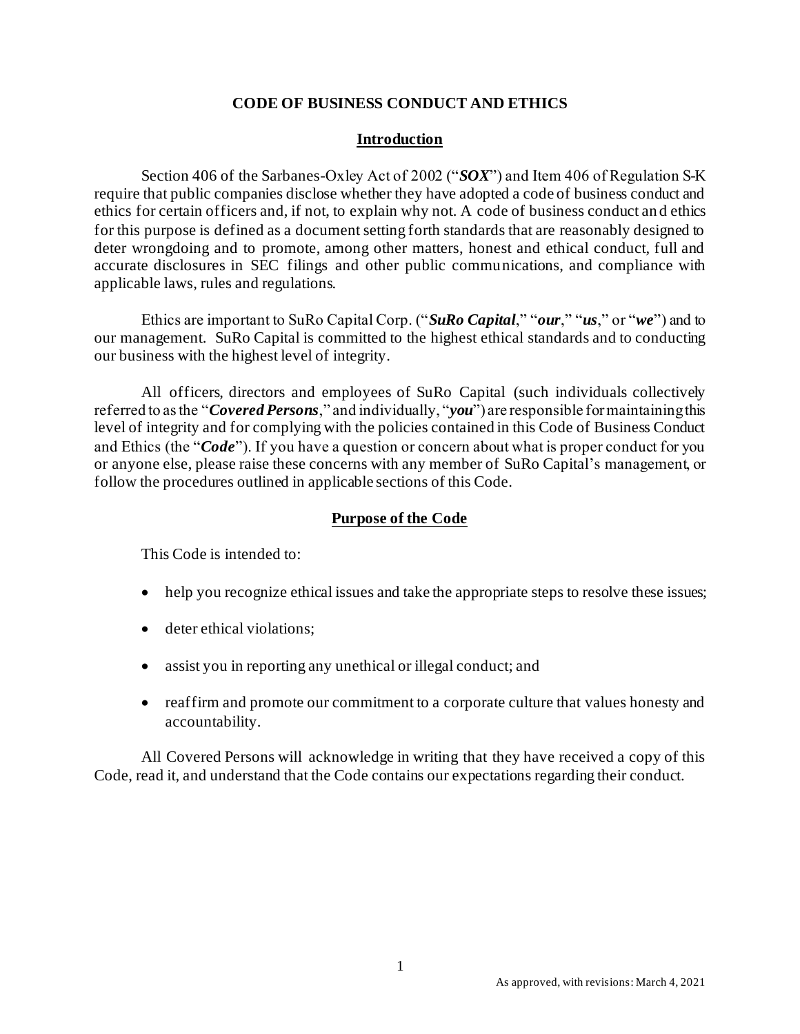## **CODE OF BUSINESS CONDUCT AND ETHICS**

## **Introduction**

Section 406 of the Sarbanes-Oxley Act of 2002 ("*SOX*") and Item 406 of Regulation S-K require that public companies disclose whether they have adopted a code of business conduct and ethics for certain officers and, if not, to explain why not. A code of business conduct an d ethics for this purpose is defined as a document setting forth standards that are reasonably designed to deter wrongdoing and to promote, among other matters, honest and ethical conduct, full and accurate disclosures in SEC filings and other public communications, and compliance with applicable laws, rules and regulations.

Ethics are important to SuRo Capital Corp. ("*SuRo Capital*," "*our*," "*us*," or "*we*") and to our management. SuRo Capital is committed to the highest ethical standards and to conducting our business with the highest level of integrity.

All officers, directors and employees of SuRo Capital (such individuals collectively referred to as the "*Covered Persons*," and individually, "*you*") are responsible for maintaining this level of integrity and for complying with the policies contained in this Code of Business Conduct and Ethics (the "*Code*"). If you have a question or concern about what is proper conduct for you or anyone else, please raise these concerns with any member of SuRo Capital's management, or follow the procedures outlined in applicable sections of this Code.

## **Purpose of the Code**

This Code is intended to:

- help you recognize ethical issues and take the appropriate steps to resolve these issues;
- deter ethical violations;
- assist you in reporting any unethical or illegal conduct; and
- reaffirm and promote our commitment to a corporate culture that values honesty and accountability.

All Covered Persons will acknowledge in writing that they have received a copy of this Code, read it, and understand that the Code contains our expectations regarding their conduct.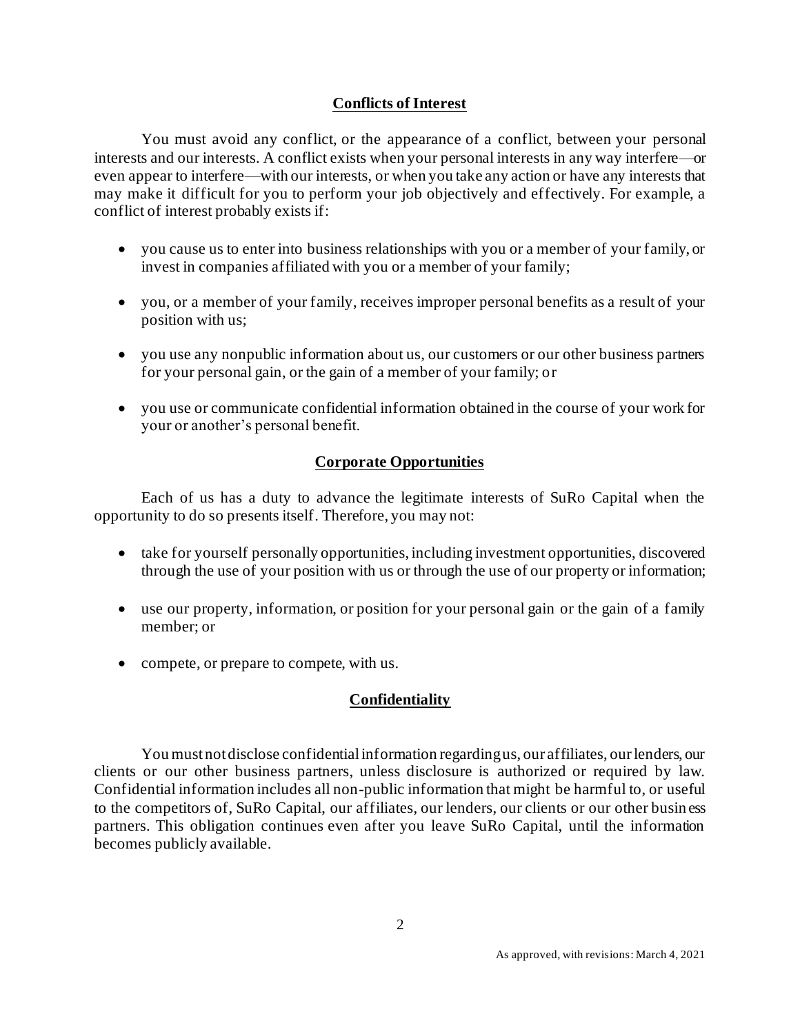# **Conflicts of Interest**

You must avoid any conflict, or the appearance of a conflict, between your personal interests and our interests. A conflict exists when your personal interests in any way interfere—or even appear to interfere—with our interests, or when you take any action or have any interests that may make it difficult for you to perform your job objectively and effectively. For example, a conflict of interest probably exists if:

- you cause us to enter into business relationships with you or a member of your family, or invest in companies affiliated with you or a member of your family;
- you, or a member of your family, receives improper personal benefits as a result of your position with us;
- you use any nonpublic information about us, our customers or our other business partners for your personal gain, or the gain of a member of your family; or
- you use or communicate confidential information obtained in the course of your work for your or another's personal benefit.

# **Corporate Opportunities**

Each of us has a duty to advance the legitimate interests of SuRo Capital when the opportunity to do so presents itself. Therefore, you may not:

- take for yourself personally opportunities, including investment opportunities, discovered through the use of your position with us or through the use of our property or information;
- use our property, information, or position for your personal gain or the gain of a family member; or
- compete, or prepare to compete, with us.

# **Confidentiality**

You must not disclose confidential information regarding us, our affiliates, our lenders, our clients or our other business partners, unless disclosure is authorized or required by law. Confidential information includes all non-public information that might be harmful to, or useful to the competitors of, SuRo Capital, our affiliates, our lenders, our clients or our other busin ess partners. This obligation continues even after you leave SuRo Capital, until the information becomes publicly available.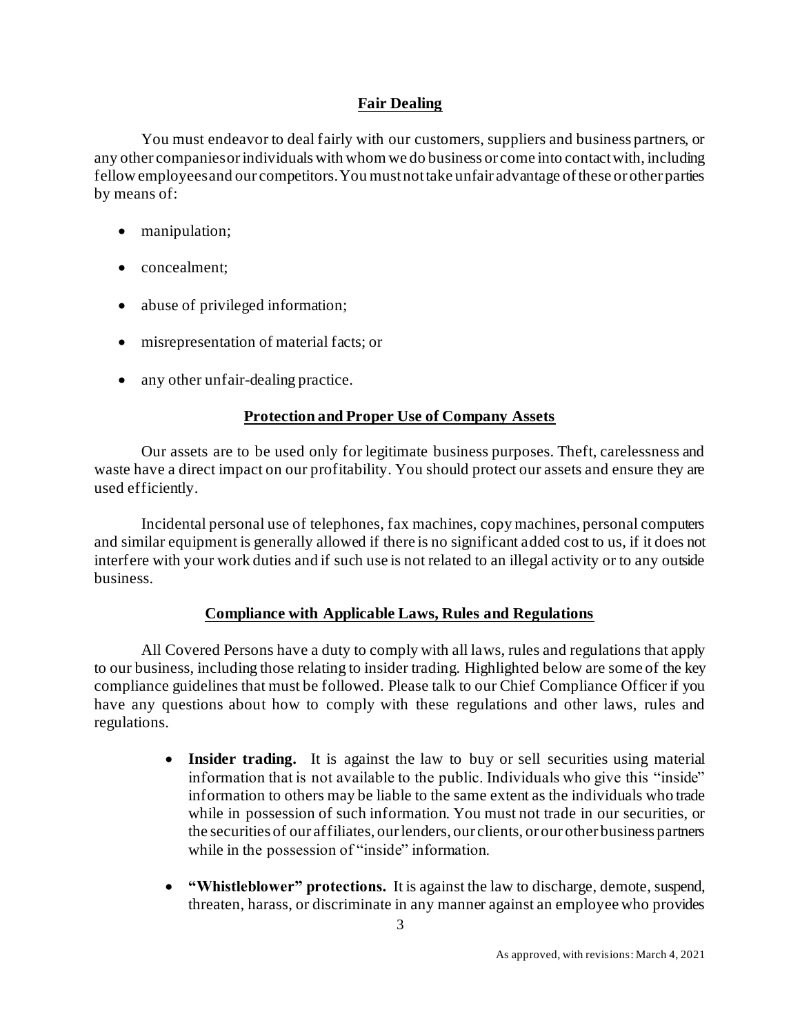# **Fair Dealing**

You must endeavor to deal fairly with our customers, suppliers and business partners, or any other companies or individuals with whom we do business or come into contact with, including fellow employees and our competitors. You must not take unfair advantage of these or other parties by means of:

- manipulation;
- concealment;
- abuse of privileged information;
- misrepresentation of material facts; or
- any other unfair-dealing practice.

# **Protection and Proper Use of Company Assets**

Our assets are to be used only for legitimate business purposes. Theft, carelessness and waste have a direct impact on our profitability. You should protect our assets and ensure they are used efficiently.

Incidental personal use of telephones, fax machines, copy machines, personal computers and similar equipment is generally allowed if there is no significant added cost to us, if it does not interfere with your work duties and if such use is not related to an illegal activity or to any outside business.

# **Compliance with Applicable Laws, Rules and Regulations**

All Covered Persons have a duty to comply with all laws, rules and regulations that apply to our business, including those relating to insider trading. Highlighted below are some of the key compliance guidelines that must be followed. Please talk to our Chief Compliance Officer if you have any questions about how to comply with these regulations and other laws, rules and regulations.

- **Insider trading.** It is against the law to buy or sell securities using material information that is not available to the public. Individuals who give this "inside" information to others may be liable to the same extent as the individuals who trade while in possession of such information. You must not trade in our securities, or the securities of our affiliates, our lenders, our clients, or our other business partners while in the possession of "inside" information.
- **"Whistleblower" protections.** It is against the law to discharge, demote, suspend, threaten, harass, or discriminate in any manner against an employee who provides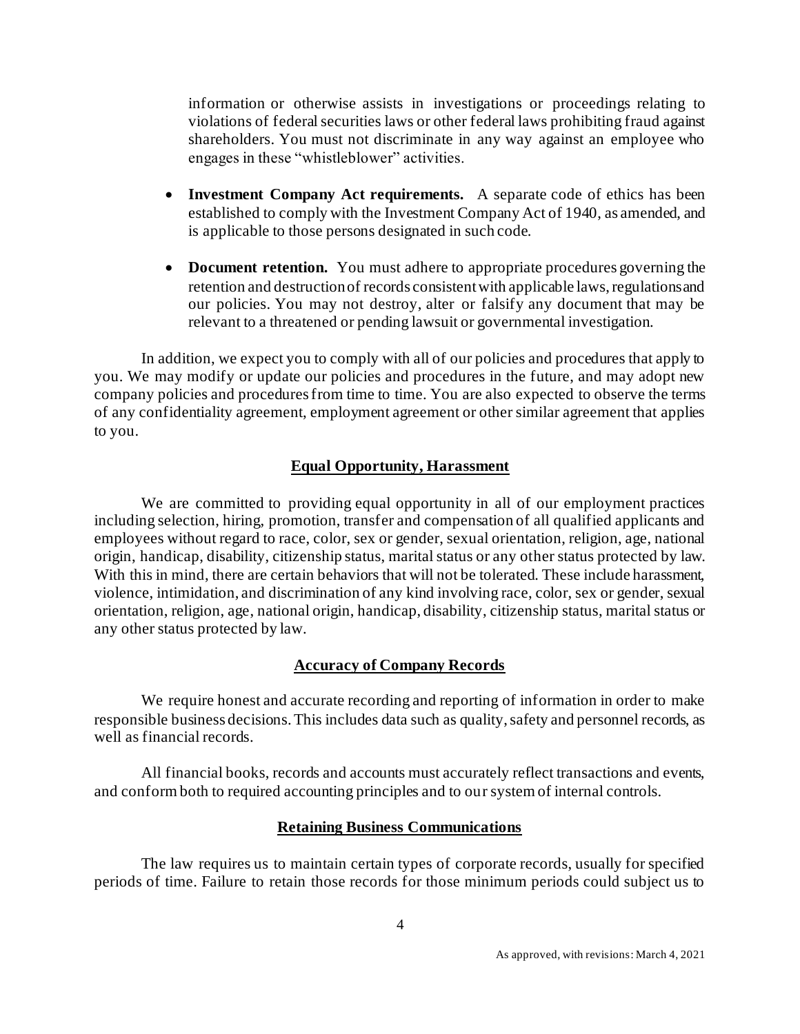information or otherwise assists in investigations or proceedings relating to violations of federal securities laws or other federal laws prohibiting fraud against shareholders. You must not discriminate in any way against an employee who engages in these "whistleblower" activities.

- **Investment Company Act requirements.** A separate code of ethics has been established to comply with the Investment Company Act of 1940, as amended, and is applicable to those persons designated in such code.
- **Document retention.** You must adhere to appropriate procedures governing the retention and destruction of records consistent with applicable laws, regulations and our policies. You may not destroy, alter or falsify any document that may be relevant to a threatened or pending lawsuit or governmental investigation.

In addition, we expect you to comply with all of our policies and procedures that apply to you. We may modify or update our policies and procedures in the future, and may adopt new company policies and procedures from time to time. You are also expected to observe the terms of any confidentiality agreement, employment agreement or other similar agreement that applies to you.

## **Equal Opportunity, Harassment**

We are committed to providing equal opportunity in all of our employment practices including selection, hiring, promotion, transfer and compensation of all qualified applicants and employees without regard to race, color, sex or gender, sexual orientation, religion, age, national origin, handicap, disability, citizenship status, marital status or any other status protected by law. With this in mind, there are certain behaviors that will not be tolerated. These include harassment, violence, intimidation, and discrimination of any kind involving race, color, sex or gender, sexual orientation, religion, age, national origin, handicap, disability, citizenship status, marital status or any other status protected by law.

#### **Accuracy of Company Records**

We require honest and accurate recording and reporting of information in order to make responsible business decisions. This includes data such as quality, safety and personnel records, as well as financial records.

All financial books, records and accounts must accurately reflect transactions and events, and conform both to required accounting principles and to our system of internal controls.

#### **Retaining Business Communications**

The law requires us to maintain certain types of corporate records, usually for specified periods of time. Failure to retain those records for those minimum periods could subject us to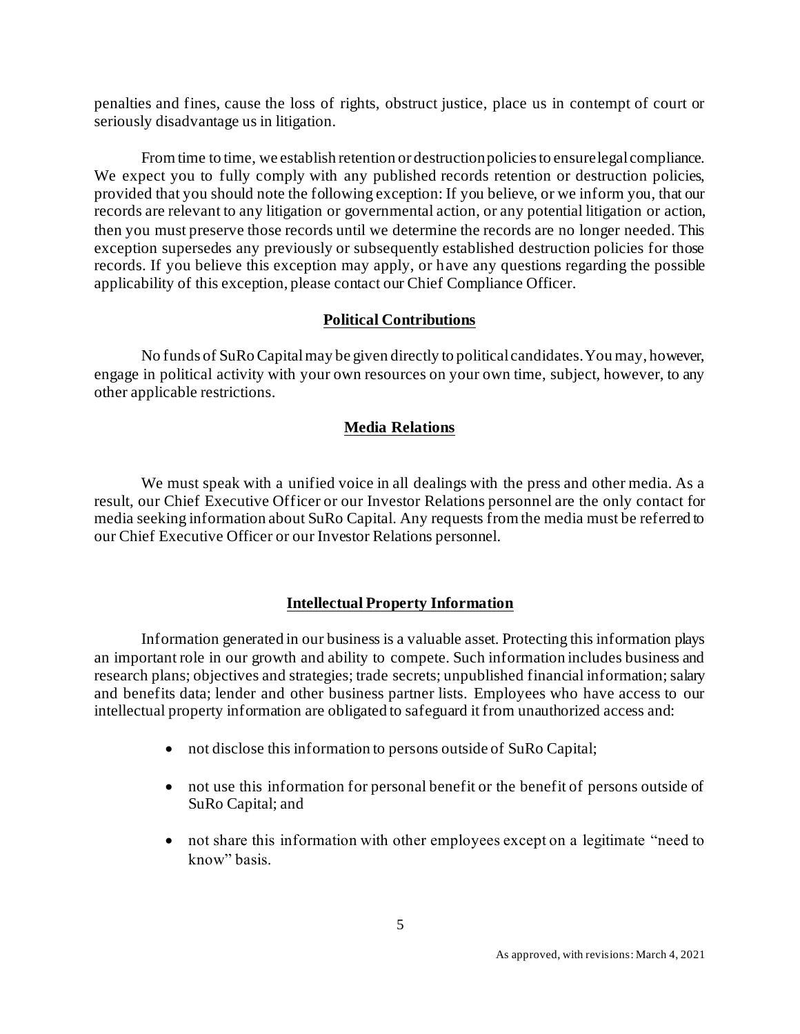penalties and fines, cause the loss of rights, obstruct justice, place us in contempt of court or seriously disadvantage us in litigation.

From time to time, we establish retention or destruction policies to ensure legal compliance. We expect you to fully comply with any published records retention or destruction policies, provided that you should note the following exception: If you believe, or we inform you, that our records are relevant to any litigation or governmental action, or any potential litigation or action, then you must preserve those records until we determine the records are no longer needed. This exception supersedes any previously or subsequently established destruction policies for those records. If you believe this exception may apply, or have any questions regarding the possible applicability of this exception, please contact our Chief Compliance Officer.

# **Political Contributions**

No funds of SuRo Capital may be given directly to political candidates. You may, however, engage in political activity with your own resources on your own time, subject, however, to any other applicable restrictions.

# **Media Relations**

We must speak with a unified voice in all dealings with the press and other media. As a result, our Chief Executive Officer or our Investor Relations personnel are the only contact for media seeking information about SuRo Capital. Any requests from the media must be referred to our Chief Executive Officer or our Investor Relations personnel.

# **Intellectual Property Information**

Information generated in our business is a valuable asset. Protecting this information plays an important role in our growth and ability to compete. Such information includes business and research plans; objectives and strategies; trade secrets; unpublished financial information; salary and benefits data; lender and other business partner lists. Employees who have access to our intellectual property information are obligated to safeguard it from unauthorized access and:

- not disclose this information to persons outside of SuRo Capital;
- not use this information for personal benefit or the benefit of persons outside of SuRo Capital; and
- not share this information with other employees except on a legitimate "need to know" basis.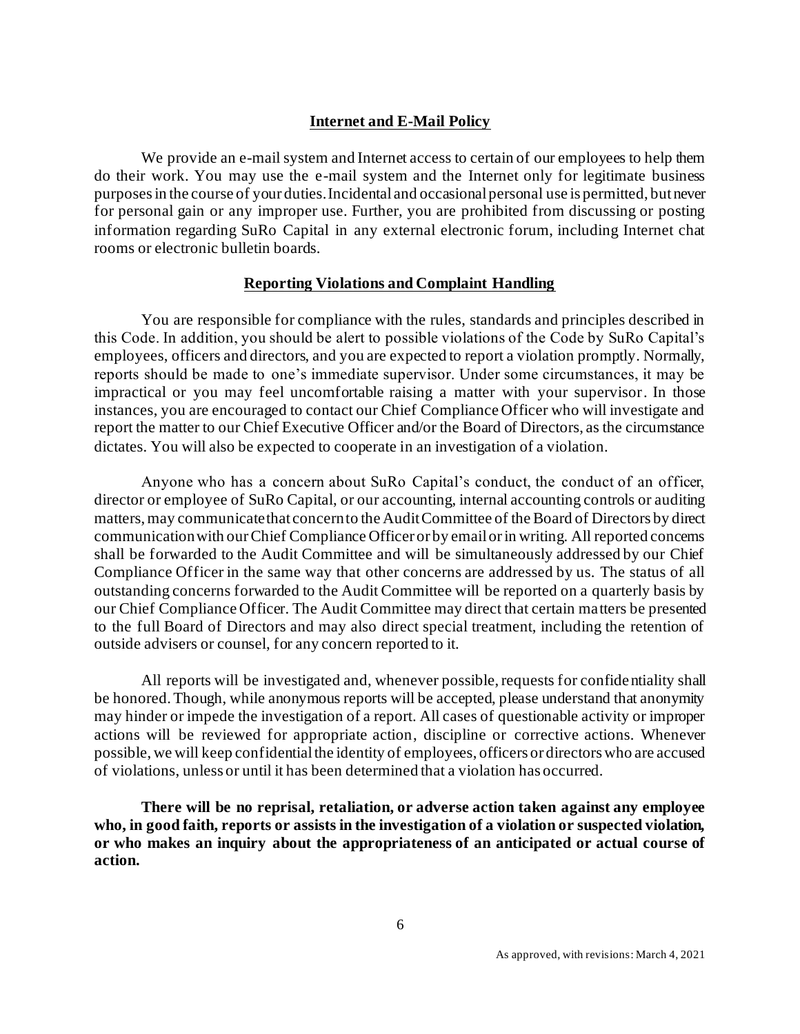## **Internet and E-Mail Policy**

We provide an e-mail system and Internet access to certain of our employees to help them do their work. You may use the e-mail system and the Internet only for legitimate business purposes in the course of your duties. Incidental and occasional personal use is permitted, but never for personal gain or any improper use. Further, you are prohibited from discussing or posting information regarding SuRo Capital in any external electronic forum, including Internet chat rooms or electronic bulletin boards.

#### **Reporting Violations and Complaint Handling**

You are responsible for compliance with the rules, standards and principles described in this Code. In addition, you should be alert to possible violations of the Code by SuRo Capital's employees, officers and directors, and you are expected to report a violation promptly. Normally, reports should be made to one's immediate supervisor. Under some circumstances, it may be impractical or you may feel uncomfortable raising a matter with your supervisor. In those instances, you are encouraged to contact our Chief Compliance Officer who will investigate and report the matter to our Chief Executive Officer and/or the Board of Directors, as the circumstance dictates. You will also be expected to cooperate in an investigation of a violation.

Anyone who has a concern about SuRo Capital's conduct, the conduct of an officer, director or employee of SuRo Capital, or our accounting, internal accounting controls or auditing matters, may communicate that concern to the Audit Committee of the Board of Directors by direct communication with our Chief Compliance Officer or by email or in writing. All reported concerns shall be forwarded to the Audit Committee and will be simultaneously addressed by our Chief Compliance Officer in the same way that other concerns are addressed by us. The status of all outstanding concerns forwarded to the Audit Committee will be reported on a quarterly basis by our Chief Compliance Officer. The Audit Committee may direct that certain matters be presented to the full Board of Directors and may also direct special treatment, including the retention of outside advisers or counsel, for any concern reported to it.

All reports will be investigated and, whenever possible, requests for confidentiality shall be honored. Though, while anonymous reports will be accepted, please understand that anonymity may hinder or impede the investigation of a report. All cases of questionable activity or improper actions will be reviewed for appropriate action, discipline or corrective actions. Whenever possible, we will keep confidential the identity of employees, officers or directors who are accused of violations, unless or until it has been determined that a violation has occurred.

**There will be no reprisal, retaliation, or adverse action taken against any employee who, in good faith, reports or assists in the investigation of a violation or suspected violation, or who makes an inquiry about the appropriateness of an anticipated or actual course of action.**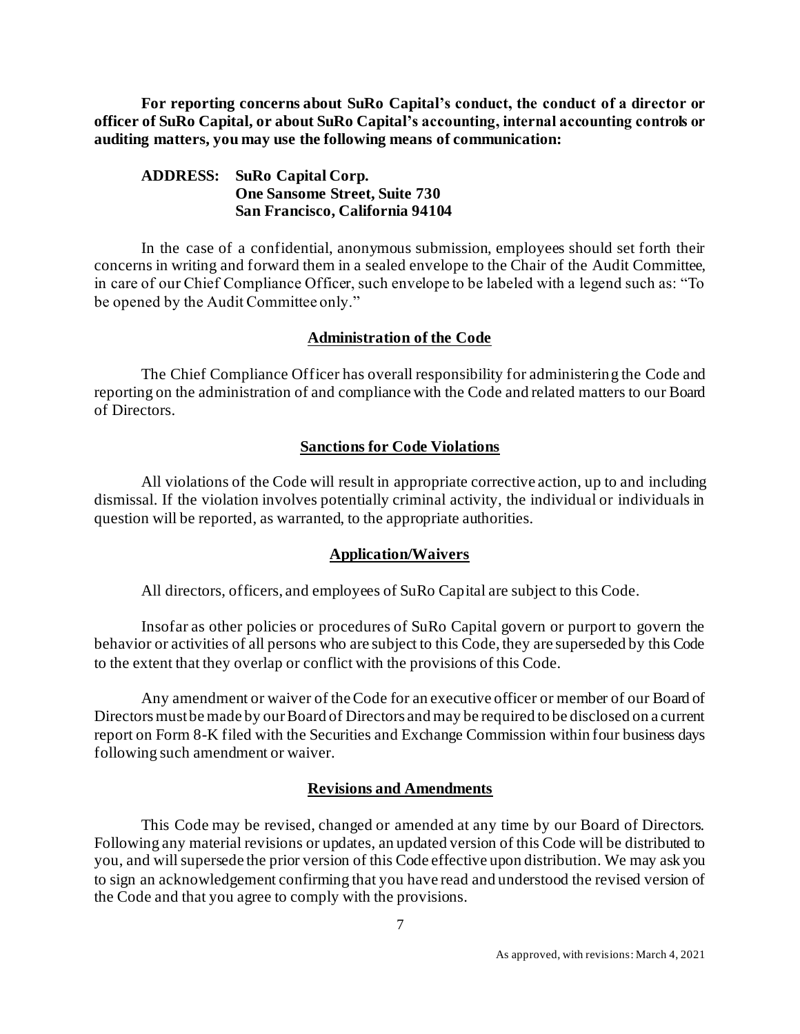**For reporting concerns about SuRo Capital's conduct, the conduct of a director or officer of SuRo Capital, or about SuRo Capital's accounting, internal accounting controls or auditing matters, you may use the following means of communication:**

## **ADDRESS: SuRo Capital Corp. One Sansome Street, Suite 730 San Francisco, California 94104**

In the case of a confidential, anonymous submission, employees should set forth their concerns in writing and forward them in a sealed envelope to the Chair of the Audit Committee, in care of our Chief Compliance Officer, such envelope to be labeled with a legend such as: "To be opened by the Audit Committee only."

#### **Administration of the Code**

The Chief Compliance Officer has overall responsibility for administering the Code and reporting on the administration of and compliance with the Code and related matters to our Board of Directors.

#### **Sanctions for Code Violations**

All violations of the Code will result in appropriate corrective action, up to and including dismissal. If the violation involves potentially criminal activity, the individual or individuals in question will be reported, as warranted, to the appropriate authorities.

#### **Application/Waivers**

All directors, officers, and employees of SuRo Capital are subject to this Code.

Insofar as other policies or procedures of SuRo Capital govern or purport to govern the behavior or activities of all persons who are subject to this Code, they are superseded by this Code to the extent that they overlap or conflict with the provisions of this Code.

Any amendment or waiver of the Code for an executive officer or member of our Board of Directors must be made by our Board of Directors and may be required to be disclosed on a current report on Form 8-K filed with the Securities and Exchange Commission within four business days following such amendment or waiver.

#### **Revisions and Amendments**

This Code may be revised, changed or amended at any time by our Board of Directors. Following any material revisions or updates, an updated version of this Code will be distributed to you, and will supersede the prior version of this Code effective upon distribution. We may ask you to sign an acknowledgement confirming that you have read and understood the revised version of the Code and that you agree to comply with the provisions.